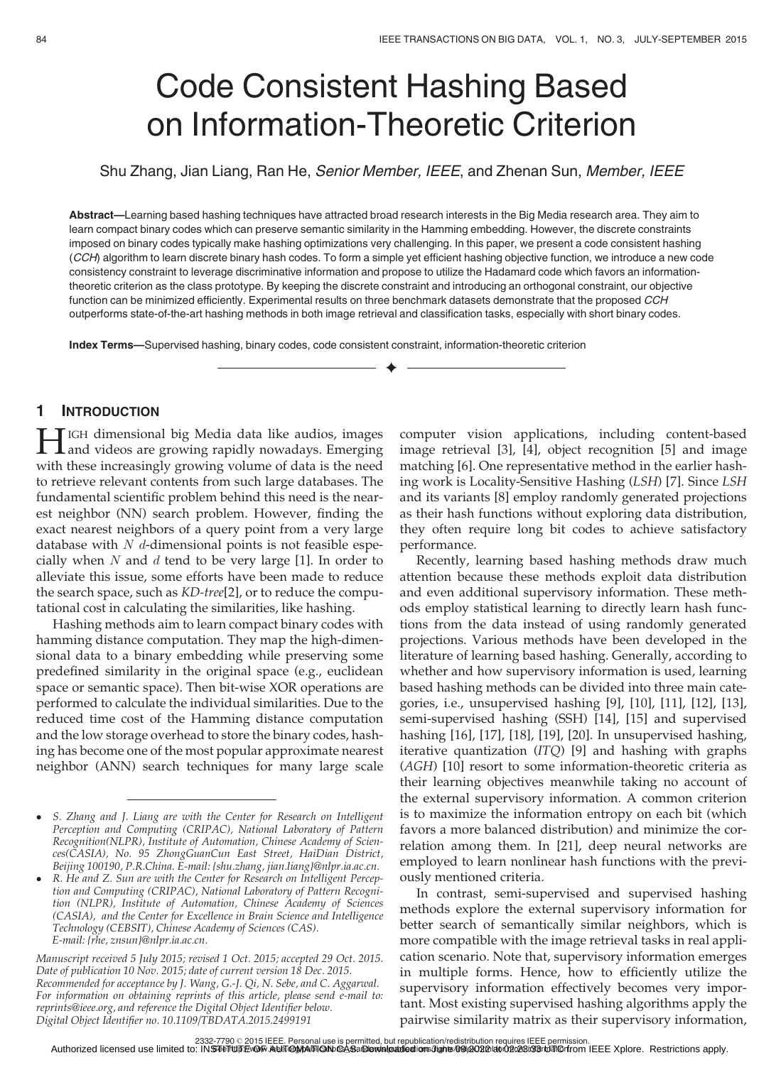# Code Consistent Hashing Based on Information-Theoretic Criterion

Shu Zhang, Jian Liang, Ran He, Senior Member, IEEE, and Zhenan Sun, Member, IEEE

Abstract—Learning based hashing techniques have attracted broad research interests in the Big Media research area. They aim to learn compact binary codes which can preserve semantic similarity in the Hamming embedding. However, the discrete constraints imposed on binary codes typically make hashing optimizations very challenging. In this paper, we present a code consistent hashing (CCH) algorithm to learn discrete binary hash codes. To form a simple yet efficient hashing objective function, we introduce a new code consistency constraint to leverage discriminative information and propose to utilize the Hadamard code which favors an informationtheoretic criterion as the class prototype. By keeping the discrete constraint and introducing an orthogonal constraint, our objective function can be minimized efficiently. Experimental results on three benchmark datasets demonstrate that the proposed CCH outperforms state-of-the-art hashing methods in both image retrieval and classification tasks, especially with short binary codes.

 $\bigstar$ 

Index Terms—Supervised hashing, binary codes, code consistent constraint, information-theoretic criterion

# 1 INTRODUCTION

II IGH dimensional big Media data like audios, images<br>and videos are growing rapidly nowadays. Emerging<br>with these increasingly growing values of data is the need with these increasingly growing volume of data is the need to retrieve relevant contents from such large databases. The fundamental scientific problem behind this need is the nearest neighbor (NN) search problem. However, finding the exact nearest neighbors of a query point from a very large database with  $N$  d-dimensional points is not feasible especially when  $N$  and  $d$  tend to be very large [1]. In order to alleviate this issue, some efforts have been made to reduce the search space, such as KD-tree[2], or to reduce the computational cost in calculating the similarities, like hashing.

Hashing methods aim to learn compact binary codes with hamming distance computation. They map the high-dimensional data to a binary embedding while preserving some predefined similarity in the original space (e.g., euclidean space or semantic space). Then bit-wise XOR operations are performed to calculate the individual similarities. Due to the reduced time cost of the Hamming distance computation and the low storage overhead to store the binary codes, hashing has become one of the most popular approximate nearest neighbor (ANN) search techniques for many large scale

Manuscript received 5 July 2015; revised 1 Oct. 2015; accepted 29 Oct. 2015. Date of publication 10 Nov. 2015; date of current version 18 Dec. 2015. Recommended for acceptance by J. Wang, G.-J. Qi, N. Sebe, and C. Aggarwal. For information on obtaining reprints of this article, please send e-mail to: reprints@ieee.org, and reference the Digital Object Identifier below. Digital Object Identifier no. 10.1109/TBDATA.2015.2499191

computer vision applications, including content-based image retrieval [3], [4], object recognition [5] and image matching [6]. One representative method in the earlier hashing work is Locality-Sensitive Hashing (LSH) [7]. Since LSH and its variants [8] employ randomly generated projections as their hash functions without exploring data distribution, they often require long bit codes to achieve satisfactory performance.

Recently, learning based hashing methods draw much attention because these methods exploit data distribution and even additional supervisory information. These methods employ statistical learning to directly learn hash functions from the data instead of using randomly generated projections. Various methods have been developed in the literature of learning based hashing. Generally, according to whether and how supervisory information is used, learning based hashing methods can be divided into three main categories, i.e., unsupervised hashing [9], [10], [11], [12], [13], semi-supervised hashing (SSH) [14], [15] and supervised hashing [16], [17], [18], [19], [20]. In unsupervised hashing, iterative quantization (ITQ) [9] and hashing with graphs (AGH) [10] resort to some information-theoretic criteria as their learning objectives meanwhile taking no account of the external supervisory information. A common criterion is to maximize the information entropy on each bit (which favors a more balanced distribution) and minimize the correlation among them. In [21], deep neural networks are employed to learn nonlinear hash functions with the previously mentioned criteria.

In contrast, semi-supervised and supervised hashing methods explore the external supervisory information for better search of semantically similar neighbors, which is more compatible with the image retrieval tasks in real application scenario. Note that, supervisory information emerges in multiple forms. Hence, how to efficiently utilize the supervisory information effectively becomes very important. Most existing supervised hashing algorithms apply the pairwise similarity matrix as their supervisory information,

2332-7790 © 2015 IEEE. Personal use is permitted, but republication/redistribution requires IEEE permission.<br>Authorized licensed use limited to: IN**S∓**eπtuπ EvO**F** AderOMAINCAN CASanDewinIpatdeations/@atomay.0222deto12ca

S. Zhang and J. Liang are with the Center for Research on Intelligent Perception and Computing (CRIPAC), National Laboratory of Pattern Recognition(NLPR), Institute of Automation, Chinese Academy of Sciences(CASIA), No. 95 ZhongGuanCun East Street, HaiDian District, Beijing 100190, P.R.China. E-mail: {shu.zhang, jian.liang}@nlpr.ia.ac.cn.

R. He and Z. Sun are with the Center for Research on Intelligent Perception and Computing (CRIPAC), National Laboratory of Pattern Recognition (NLPR), Institute of Automation, Chinese Academy of Sciences (CASIA), and the Center for Excellence in Brain Science and Intelligence Technology (CEBSIT), Chinese Academy of Sciences (CAS). E-mail: {rhe, znsun}@nlpr.ia.ac.cn.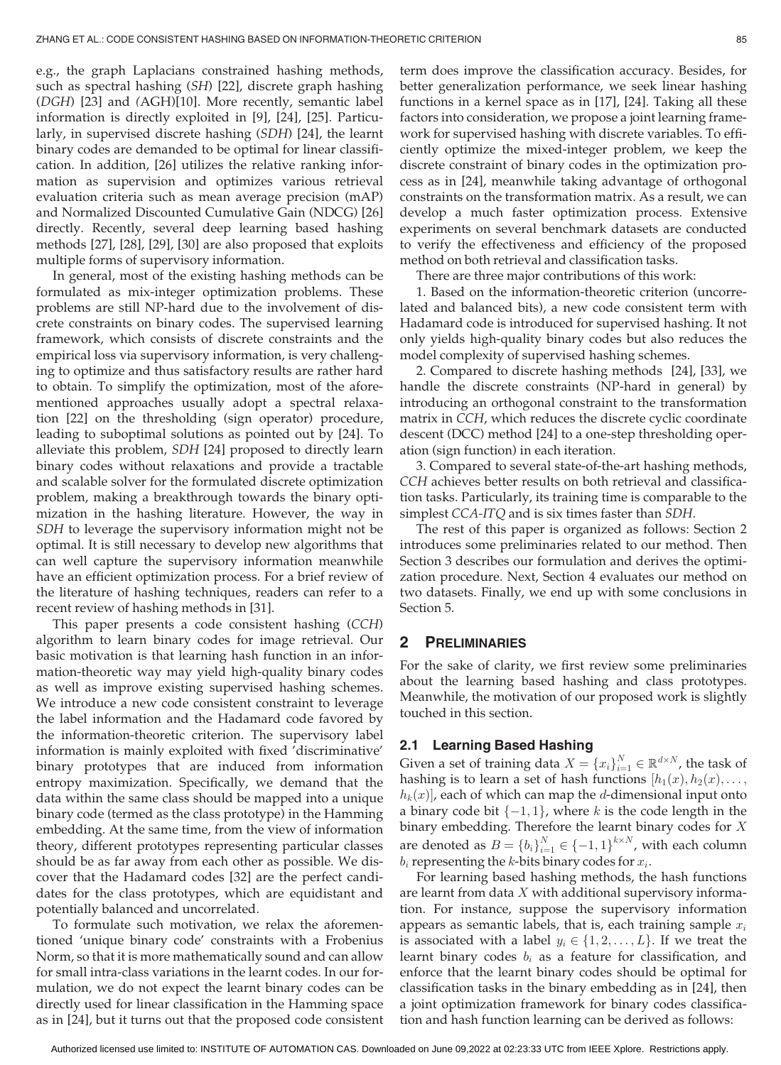e.g., the graph Laplacians constrained hashing methods, such as spectral hashing (SH) [22], discrete graph hashing (DGH) [23] and (AGH)[10]. More recently, semantic label information is directly exploited in [9], [24], [25]. Particularly, in supervised discrete hashing (SDH) [24], the learnt binary codes are demanded to be optimal for linear classification. In addition, [26] utilizes the relative ranking information as supervision and optimizes various retrieval evaluation criteria such as mean average precision (mAP) and Normalized Discounted Cumulative Gain (NDCG) [26] directly. Recently, several deep learning based hashing methods [27], [28], [29], [30] are also proposed that exploits multiple forms of supervisory information.

In general, most of the existing hashing methods can be formulated as mix-integer optimization problems. These problems are still NP-hard due to the involvement of discrete constraints on binary codes. The supervised learning framework, which consists of discrete constraints and the empirical loss via supervisory information, is very challenging to optimize and thus satisfactory results are rather hard to obtain. To simplify the optimization, most of the aforementioned approaches usually adopt a spectral relaxation [22] on the thresholding (sign operator) procedure, leading to suboptimal solutions as pointed out by [24]. To alleviate this problem, SDH [24] proposed to directly learn binary codes without relaxations and provide a tractable and scalable solver for the formulated discrete optimization problem, making a breakthrough towards the binary optimization in the hashing literature. However, the way in SDH to leverage the supervisory information might not be optimal. It is still necessary to develop new algorithms that can well capture the supervisory information meanwhile have an efficient optimization process. For a brief review of the literature of hashing techniques, readers can refer to a recent review of hashing methods in [31].

This paper presents a code consistent hashing (CCH) algorithm to learn binary codes for image retrieval. Our basic motivation is that learning hash function in an information-theoretic way may yield high-quality binary codes as well as improve existing supervised hashing schemes. We introduce a new code consistent constraint to leverage the label information and the Hadamard code favored by the information-theoretic criterion. The supervisory label information is mainly exploited with fixed 'discriminative' binary prototypes that are induced from information entropy maximization. Specifically, we demand that the data within the same class should be mapped into a unique binary code (termed as the class prototype) in the Hamming embedding. At the same time, from the view of information theory, different prototypes representing particular classes should be as far away from each other as possible. We discover that the Hadamard codes [32] are the perfect candidates for the class prototypes, which are equidistant and potentially balanced and uncorrelated.

To formulate such motivation, we relax the aforementioned 'unique binary code' constraints with a Frobenius Norm, so that it is more mathematically sound and can allow for small intra-class variations in the learnt codes. In our formulation, we do not expect the learnt binary codes can be directly used for linear classification in the Hamming space as in [24], but it turns out that the proposed code consistent

term does improve the classification accuracy. Besides, for better generalization performance, we seek linear hashing functions in a kernel space as in [17], [24]. Taking all these factors into consideration, we propose a joint learning framework for supervised hashing with discrete variables. To efficiently optimize the mixed-integer problem, we keep the discrete constraint of binary codes in the optimization process as in [24], meanwhile taking advantage of orthogonal constraints on the transformation matrix. As a result, we can develop a much faster optimization process. Extensive experiments on several benchmark datasets are conducted to verify the effectiveness and efficiency of the proposed method on both retrieval and classification tasks.

There are three major contributions of this work:

1. Based on the information-theoretic criterion (uncorrelated and balanced bits), a new code consistent term with Hadamard code is introduced for supervised hashing. It not only yields high-quality binary codes but also reduces the model complexity of supervised hashing schemes.

2. Compared to discrete hashing methods [24], [33], we handle the discrete constraints (NP-hard in general) by introducing an orthogonal constraint to the transformation matrix in CCH, which reduces the discrete cyclic coordinate descent (DCC) method [24] to a one-step thresholding operation (sign function) in each iteration.

3. Compared to several state-of-the-art hashing methods, CCH achieves better results on both retrieval and classification tasks. Particularly, its training time is comparable to the simplest CCA-ITQ and is six times faster than SDH.

The rest of this paper is organized as follows: Section 2 introduces some preliminaries related to our method. Then Section 3 describes our formulation and derives the optimization procedure. Next, Section 4 evaluates our method on two datasets. Finally, we end up with some conclusions in Section 5.

## 2 PRELIMINARIES

For the sake of clarity, we first review some preliminaries about the learning based hashing and class prototypes. Meanwhile, the motivation of our proposed work is slightly touched in this section.

#### 2.1 Learning Based Hashing

Given a set of training data  $X = \{x_i\}_{i=1}^N \in \mathbb{R}^{d \times N}$ , the task of hashing is to learn a set of hash functions  $[h_1(x) \, h_2(x)]$ hashing is to learn a set of hash functions  $[h_1(x), h_2(x), \ldots, h_k(x)]$  $h_k(x)$ , each of which can map the d-dimensional input onto a binary code bit  $\{-1, 1\}$ , where k is the code length in the binary embedding. Therefore the learnt binary codes for  $X$ are denoted as  $B = \{b_i\}_{i=1}^N \in \{-1, 1\}^{k \times N}$ , with each column  $b_i$  representing the *k*-bits binary codes for  $x_i$ .  $b_i$  representing the k-bits binary codes for  $x_i$ .

For learning based hashing methods, the hash functions are learnt from data X with additional supervisory information. For instance, suppose the supervisory information appears as semantic labels, that is, each training sample  $x_i$ is associated with a label  $y_i \in \{1, 2, \ldots, L\}$ . If we treat the learnt binary codes  $b_i$  as a feature for classification, and enforce that the learnt binary codes should be optimal for classification tasks in the binary embedding as in [24], then a joint optimization framework for binary codes classification and hash function learning can be derived as follows: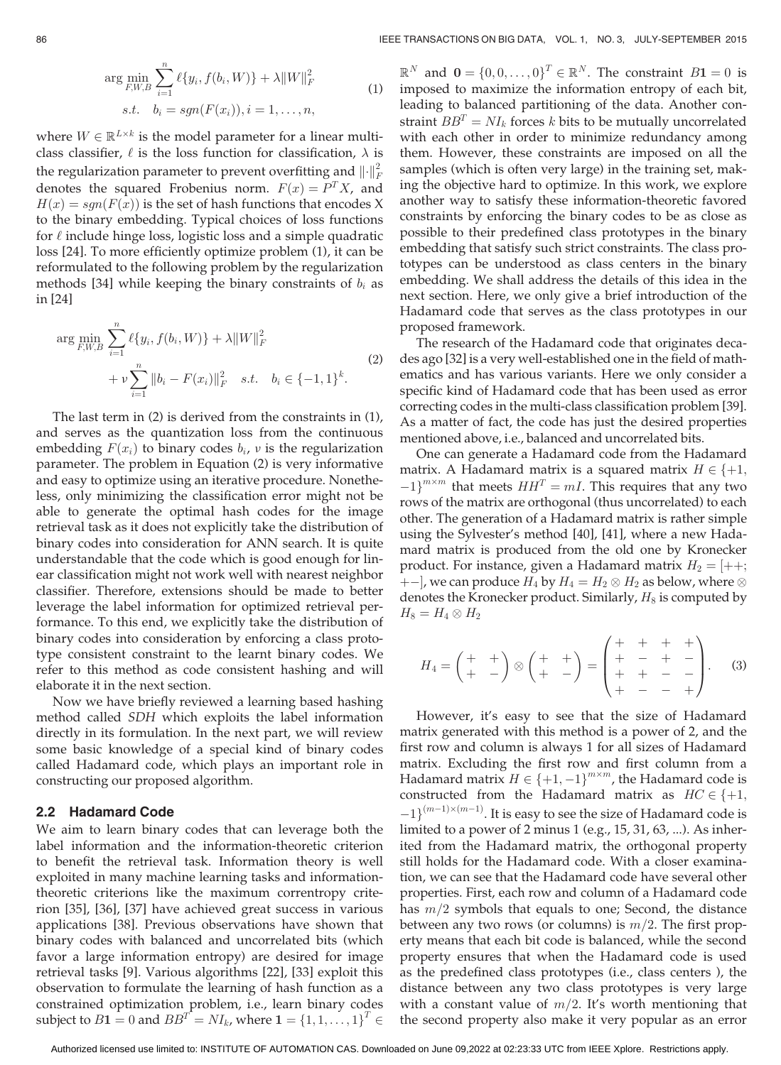$$
\arg \min_{F,W,B} \sum_{i=1}^{n} \ell\{y_i, f(b_i, W)\} + \lambda ||W||_F^2
$$
  
s.t.  $b_i = sgn(F(x_i)), i = 1, ..., n,$  (1)

where  $W \in \mathbb{R}^{L \times k}$  is the model parameter for a linear multiclass classifier,  $\ell$  is the loss function for classification,  $\lambda$  is the regularization parameter to prevent overfitting and  $||\cdot||_F^2$ <br>denotes, the squared, Erobenius, norm,  $F(x) = P^T X$ , and denotes the squared Frobenius norm.  $F(x) = P^{T} X$ , and  $H(x) = sgn(F(x))$  is the set of hash functions that encodes X to the binary embedding. Typical choices of loss functions for  $\ell$  include hinge loss, logistic loss and a simple quadratic loss [24]. To more efficiently optimize problem (1), it can be reformulated to the following problem by the regularization methods [34] while keeping the binary constraints of  $b_i$  as in [24]

$$
\arg\min_{F;W,B} \sum_{i=1}^{n} \ell\{y_i, f(b_i, W)\} + \lambda \|W\|_F^2
$$
  
+  $\nu \sum_{i=1}^{n} \|b_i - F(x_i)\|_F^2$  s.t.  $b_i \in \{-1, 1\}^k$ . (2)

The last term in (2) is derived from the constraints in (1), and serves as the quantization loss from the continuous embedding  $F(x_i)$  to binary codes  $b_i$ , v is the regularization parameter. The problem in Equation (2) is very informative and easy to optimize using an iterative procedure. Nonetheless, only minimizing the classification error might not be able to generate the optimal hash codes for the image retrieval task as it does not explicitly take the distribution of binary codes into consideration for ANN search. It is quite understandable that the code which is good enough for linear classification might not work well with nearest neighbor classifier. Therefore, extensions should be made to better leverage the label information for optimized retrieval performance. To this end, we explicitly take the distribution of binary codes into consideration by enforcing a class prototype consistent constraint to the learnt binary codes. We refer to this method as code consistent hashing and will elaborate it in the next section.

Now we have briefly reviewed a learning based hashing method called SDH which exploits the label information directly in its formulation. In the next part, we will review some basic knowledge of a special kind of binary codes called Hadamard code, which plays an important role in constructing our proposed algorithm.

#### 2.2 Hadamard Code

We aim to learn binary codes that can leverage both the label information and the information-theoretic criterion to benefit the retrieval task. Information theory is well exploited in many machine learning tasks and informationtheoretic criterions like the maximum correntropy criterion [35], [36], [37] have achieved great success in various applications [38]. Previous observations have shown that binary codes with balanced and uncorrelated bits (which favor a large information entropy) are desired for image retrieval tasks [9]. Various algorithms [22], [33] exploit this observation to formulate the learning of hash function as a constrained optimization problem, i.e., learn binary codes subject to  $B1 = 0$  and  $BB^T = NI_k$ , where  $\mathbf{1} = \{1, 1, \ldots, 1\}^T \in$ 

 $\mathbb{R}^N$  and  $\mathbf{0} = \{0, 0, \dots, 0\}^T \in \mathbb{R}^N$ . The constraint  $B\mathbf{1} = 0$  is imposed to maximize the information entropy of each bit, leading to balanced partitioning of the data. Another constraint  $BB^T = NI_k$  forces k bits to be mutually uncorrelated with each other in order to minimize redundancy among them. However, these constraints are imposed on all the samples (which is often very large) in the training set, making the objective hard to optimize. In this work, we explore another way to satisfy these information-theoretic favored constraints by enforcing the binary codes to be as close as possible to their predefined class prototypes in the binary embedding that satisfy such strict constraints. The class prototypes can be understood as class centers in the binary embedding. We shall address the details of this idea in the next section. Here, we only give a brief introduction of the Hadamard code that serves as the class prototypes in our proposed framework.

The research of the Hadamard code that originates decades ago [32] is a very well-established one in the field of mathematics and has various variants. Here we only consider a specific kind of Hadamard code that has been used as error correcting codes in the multi-class classification problem [39]. As a matter of fact, the code has just the desired properties mentioned above, i.e., balanced and uncorrelated bits.

One can generate a Hadamard code from the Hadamard matrix. A Hadamard matrix is a squared matrix  $H \in \{+1,$  $-1$ <sup>m $\times$ m</sup> that meets  $HH<sup>T</sup> = mI$ . This requires that any two rows of the matrix are orthogonal (thus uncorrelated) to each other. The generation of a Hadamard matrix is rather simple using the Sylvester's method [40], [41], where a new Hadamard matrix is produced from the old one by Kronecker product. For instance, given a Hadamard matrix  $H_2 = [++;$  $\left\vert +-\right\vert$ , we can produce  $H_{4}$  by  $H_{4}=H_{2}\otimes H_{2}$  as below, where  $\otimes$ denotes the Kronecker product. Similarly,  $H_8$  is computed by  $H_8 = H_4 \otimes H_2$ 

$$
H_4 = \begin{pmatrix} + & + \\ + & - \end{pmatrix} \otimes \begin{pmatrix} + & + \\ + & - \end{pmatrix} = \begin{pmatrix} + & + & + & + \\ + & - & + & - \\ + & + & - & - \\ + & - & - & + \end{pmatrix}.
$$
 (3)

However, it's easy to see that the size of Hadamard matrix generated with this method is a power of 2, and the first row and column is always 1 for all sizes of Hadamard matrix. Excluding the first row and first column from a Hadamard matrix  $H \in \{+1, -1\}^{m \times m}$ , the Hadamard code is constructed from the Hadamard matrix as  $HC \in \{+1,$  $(-1)^{(m-1)\times(m-1)}$ . It is easy to see the size of Hadamard code is limited to a nower of 2 minus 1 (e.g. 15, 31, 63, ). As inherlimited to a power of 2 minus 1 (e.g., 15, 31, 63, ...). As inherited from the Hadamard matrix, the orthogonal property still holds for the Hadamard code. With a closer examination, we can see that the Hadamard code have several other properties. First, each row and column of a Hadamard code has  $m/2$  symbols that equals to one; Second, the distance between any two rows (or columns) is  $m/2$ . The first property means that each bit code is balanced, while the second property ensures that when the Hadamard code is used as the predefined class prototypes (i.e., class centers ), the distance between any two class prototypes is very large with a constant value of  $m/2$ . It's worth mentioning that the second property also make it very popular as an error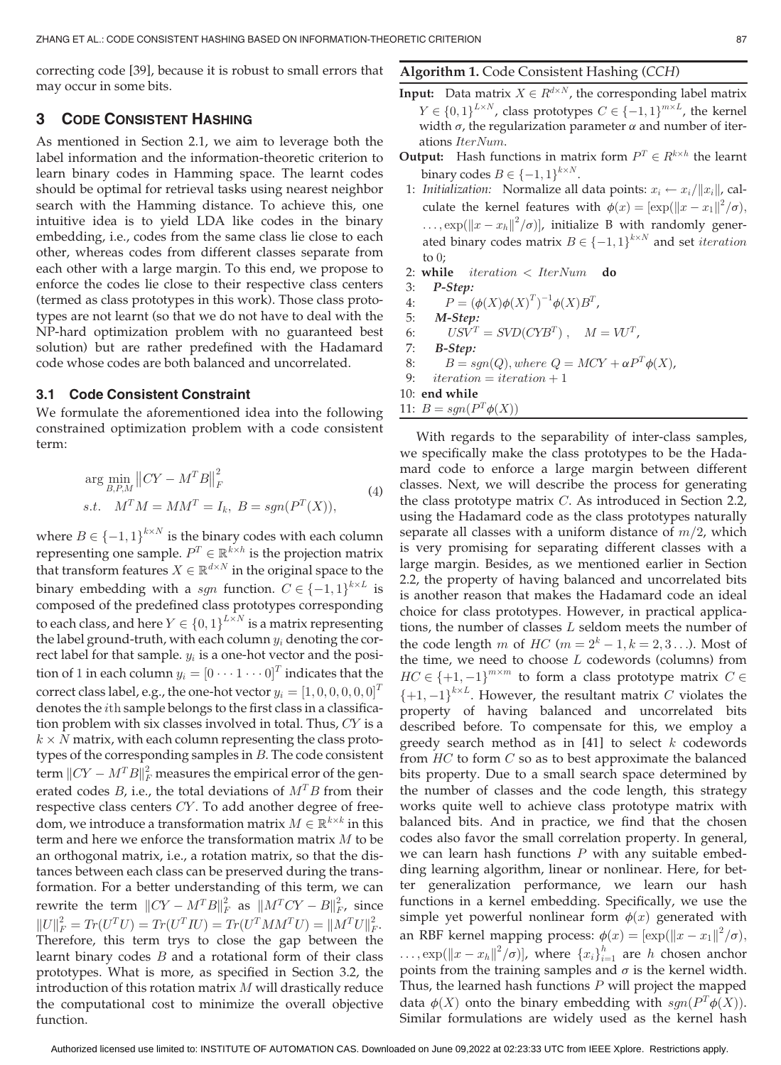correcting code [39], because it is robust to small errors that may occur in some bits.

## 3 CODE CONSISTENT HASHING

As mentioned in Section 2.1, we aim to leverage both the label information and the information-theoretic criterion to learn binary codes in Hamming space. The learnt codes should be optimal for retrieval tasks using nearest neighbor search with the Hamming distance. To achieve this, one intuitive idea is to yield LDA like codes in the binary embedding, i.e., codes from the same class lie close to each other, whereas codes from different classes separate from each other with a large margin. To this end, we propose to enforce the codes lie close to their respective class centers (termed as class prototypes in this work). Those class prototypes are not learnt (so that we do not have to deal with the NP-hard optimization problem with no guaranteed best solution) but are rather predefined with the Hadamard code whose codes are both balanced and uncorrelated.

#### 3.1 Code Consistent Constraint

We formulate the aforementioned idea into the following constrained optimization problem with a code consistent term:

$$
\arg\min_{B,P,M} \left\| CY - M^T B \right\|_F^2
$$
  
s.t. 
$$
M^T M = MM^T = I_k, B = sgn(P^T(X)),
$$
 (4)

where  $B \in \{-1, 1\}^{k \times N}$  is the binary codes with each column representing one sample.  $P^T \in \mathbb{R}^{k \times h}$  is the projection matrix that transform features  $X \in \mathbb{R}^{d \times N}$  in the original space to the binary embedding with a sgn function.  $C \in \{-1, 1\}^{k \times L}$  is composed of the predefined class prototypes corresponding to each class, and here  $Y \in \{0, 1\}^{L \times N}$  is a matrix representing the label ground-truth, with each column  $y_i$  denoting the correct label for that sample.  $y_i$  is a one-hot vector and the position of 1 in each column  $y_i = [0 \cdots 1 \cdots 0]^T$  indicates that the correct class label, e.g., the one-hot vector  $y_i = [1, 0, 0, 0, 0, 0]^T$ <br>denotes the *i*th sample belongs to the first class in a classificadenotes the <sup>i</sup>th sample belongs to the first class in a classification problem with six classes involved in total. Thus, CY is a  $k \times N$  matrix, with each column representing the class prototypes of the corresponding samples in B. The code consistent term  $\|CY - M^TB\|^2_F$  measures the empirical error of the generated codes  $P$ , i.e., the total deviations of  $M^TP$  from their erated codes  $B$ , i.e., the total deviations of  $M<sup>T</sup>B$  from their respective class centers CY. To add another degree of freedom, we introduce a transformation matrix  $M \in \mathbb{R}^{k \times k}$  in this term and here we enforce the transformation matrix  $M$  to be an orthogonal matrix, i.e., a rotation matrix, so that the distances between each class can be preserved during the transformation. For a better understanding of this term, we can rewrite the term  $\begin{array}{cc} \|CY-M^TB\|^2_F & \text{as } \|M^TCY-B\|^2_F, \end{array}$  since  $||U||_F^2 = Tr(U^TU) = Tr(U^T I U) = Tr(U^T M M^T U) = ||M^T U||_F^2.$ <br>Therefore this term true to close the gan between the Therefore, this term trys to close the gap between the learnt binary codes  $B$  and a rotational form of their class prototypes. What is more, as specified in Section 3.2, the introduction of this rotation matrix  $M$  will drastically reduce the computational cost to minimize the overall objective function.

## Algorithm 1. Code Consistent Hashing (CCH)

- **Input:** Data matrix  $X \in R^{d \times N}$ , the corresponding label matrix  $Y \in \{0,1\}^{L \times N}$ , class prototypes  $C \in \{-1,1\}^{m \times L}$ , the kernel width  $\sigma$ , the regularization parameter  $\alpha$  and number of iterations IterNum.
- **Output:** Hash functions in matrix form  $P^T \in R^{k \times h}$  the learnt binary codes  $B \in \{-1, 1\}^{k \times N}$ .
- 1: *Initialization:* Normalize all data points:  $x_i \leftarrow x_i / ||x_i||$ , calculate the kernel features with  $\phi(x) = \exp(\|x - x_1\|^2/\sigma)$ ,<br> $\exp(\|x - x_1\|^2/\sigma)$ , initialize B vith rendered concrete ...,  $\exp(\|x - x_h\|^2 / \sigma)$ , initialize B with randomly gener-<br>ated binary sodes matrix  $B \in \{-1, 1\}^{k \times N}$  and set iteration ated binary codes matrix  $B \in \{-1, 1\}^{k \times N}$  and set *iteration* to 0;
- 2: while iteration < IterNum do
- 3: P-Step:
- 4:  $P = (\phi(X)\phi(X)^T)$ <br>5: **M-Sten:**  $\int^{-1} \phi(X) B^{T}$ ,
- 5: M-Step:
- 6:  $USV^T = SVD(CYB^T)$ ,  $M = VU^T$ ,<br>7: **B-Step:**
- B-Step:
- 8:  $B = sgn(Q)$ , where  $Q = MCY + \alpha P^T \phi(X)$ ,<br>9: iteration = iteration + 1
- $iteration = iteration + 1$
- 10: end while
- 11:  $B = sgn(P^T\phi(X))$

With regards to the separability of inter-class samples, we specifically make the class prototypes to be the Hadamard code to enforce a large margin between different classes. Next, we will describe the process for generating the class prototype matrix C. As introduced in Section 2.2, using the Hadamard code as the class prototypes naturally separate all classes with a uniform distance of  $m/2$ , which is very promising for separating different classes with a large margin. Besides, as we mentioned earlier in Section 2.2, the property of having balanced and uncorrelated bits is another reason that makes the Hadamard code an ideal choice for class prototypes. However, in practical applications, the number of classes L seldom meets the number of the code length m of HC ( $m = 2<sup>k</sup> - 1, k = 2, 3...$ ). Most of the time, we need to choose  $L$  codewords (columns) from  $HC \in \{+1, -1\}^{m \times m}$  to form a class prototype matrix  $C \in$  $\{+1, -1\}^{k \times L}$ . However, the resultant matrix C violates the property of having balanced and uncorrelated bits described before. To compensate for this, we employ a greedy search method as in  $[41]$  to select  $k$  codewords from  $HC$  to form  $C$  so as to best approximate the balanced bits property. Due to a small search space determined by the number of classes and the code length, this strategy works quite well to achieve class prototype matrix with balanced bits. And in practice, we find that the chosen codes also favor the small correlation property. In general, we can learn hash functions  $P$  with any suitable embedding learning algorithm, linear or nonlinear. Here, for better generalization performance, we learn our hash functions in a kernel embedding. Specifically, we use the simple yet powerful nonlinear form  $\phi(x)$  generated with an RBF kernel mapping process:  $\phi(x) = [\exp(||x - x_1||^2/\sigma),$ ...,  $\exp(\|x - x_h\|^2 / \sigma)$ , where  $\{x_i\}_{i=1}^h$  are h chosen anchor<br>points from the training samples and  $\sigma$  is the kernel width points from the training samples and  $\sigma$  is the kernel width. Thus, the learned hash functions  $P$  will project the mapped data  $\phi(X)$  onto the binary embedding with  $sgn(P^T\phi(X))$ . Similar formulations are widely used as the kernel hash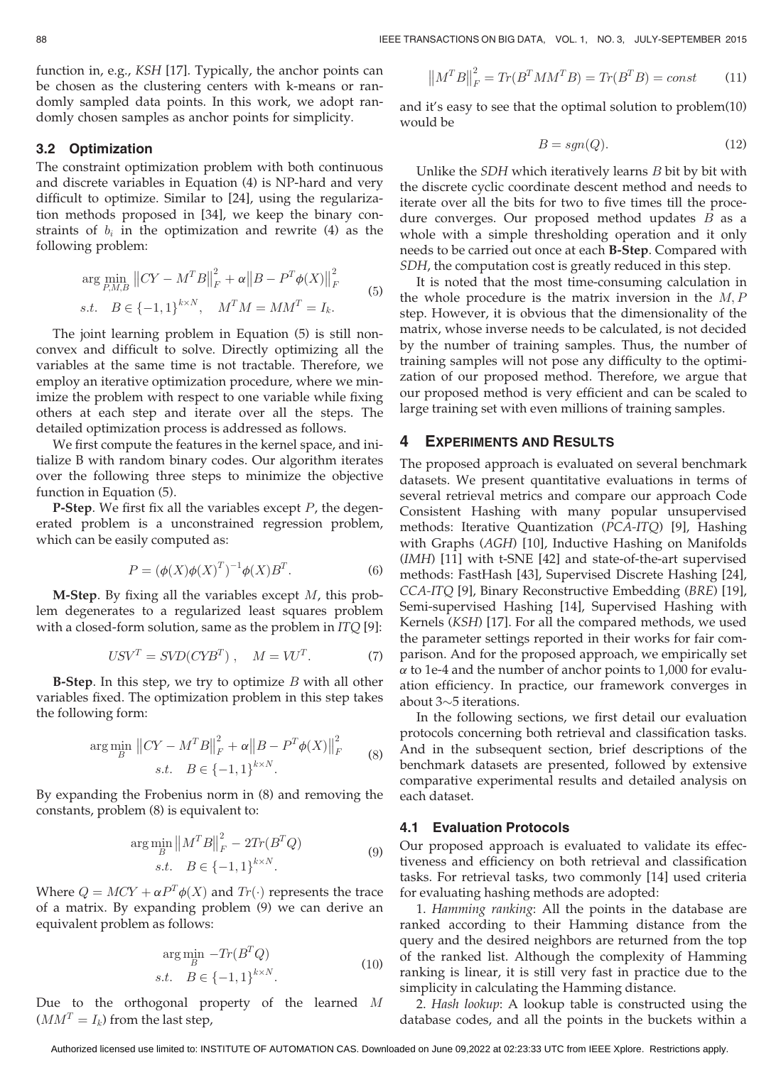function in, e.g., KSH [17]. Typically, the anchor points can be chosen as the clustering centers with k-means or randomly sampled data points. In this work, we adopt randomly chosen samples as anchor points for simplicity.

#### 3.2 Optimization

The constraint optimization problem with both continuous and discrete variables in Equation (4) is NP-hard and very difficult to optimize. Similar to [24], using the regularization methods proposed in [34], we keep the binary constraints of  $b_i$  in the optimization and rewrite (4) as the following problem:

$$
\arg\min_{P,M,B} \|CY - M^T B\|_F^2 + \alpha \|B - P^T \phi(X)\|_F^2
$$
  
s.t.  $B \in \{-1, 1\}^{k \times N}$ ,  $M^T M = MM^T = I_k$ . (5)

The joint learning problem in Equation (5) is still nonconvex and difficult to solve. Directly optimizing all the variables at the same time is not tractable. Therefore, we employ an iterative optimization procedure, where we minimize the problem with respect to one variable while fixing others at each step and iterate over all the steps. The detailed optimization process is addressed as follows.

We first compute the features in the kernel space, and initialize B with random binary codes. Our algorithm iterates over the following three steps to minimize the objective function in Equation (5).

**P-Step**. We first fix all the variables except  $P$ , the degenerated problem is a unconstrained regression problem, which can be easily computed as:

$$
P = (\phi(X)\phi(X)^{T})^{-1}\phi(X)B^{T}.
$$
 (6)

**M-Step**. By fixing all the variables except  $M$ , this problem degenerates to a regularized least squares problem with a closed-form solution, same as the problem in  $ITQ$  [9]:

$$
USV^T = SVD(CYB^T), \quad M = VU^T.
$$
 (7)

**B-Step**. In this step, we try to optimize  $B$  with all other variables fixed. The optimization problem in this step takes the following form:

$$
\arg\min_{B} \|CY - M^T B\|_F^2 + \alpha \|B - P^T \phi(X)\|_F^2
$$
  
s.t.  $B \in \{-1, 1\}^{k \times N}$ . (8)

By expanding the Frobenius norm in (8) and removing the constants, problem (8) is equivalent to:

$$
\arg\min_{B} \|M^T B\|_F^2 - 2Tr(B^T Q)
$$
  
s.t.  $B \in \{-1, 1\}^{k \times N}$ . (9)

Where  $Q = MCY + \alpha P^T \phi(X)$  and  $Tr(\cdot)$  represents the trace of a matrix. By expanding problem (9) we can derive an equivalent problem as follows:

$$
\arg\min_{B} -Tr(B^T Q)
$$
  
s.t.  $B \in \{-1, 1\}^{k \times N}$ . (10)

Due to the orthogonal property of the learned M  $(MM<sup>T</sup> = I<sub>k</sub>)$  from the last step,

$$
\left\|M^T B\right\|_F^2 = \text{Tr}(B^T M M^T B) = \text{Tr}(B^T B) = \text{const}
$$
 (11)

and it's easy to see that the optimal solution to problem(10) would be

$$
B = sgn(Q). \tag{12}
$$

Unlike the SDH which iteratively learns B bit by bit with the discrete cyclic coordinate descent method and needs to iterate over all the bits for two to five times till the procedure converges. Our proposed method updates  $B$  as a whole with a simple thresholding operation and it only needs to be carried out once at each B-Step. Compared with SDH, the computation cost is greatly reduced in this step.

It is noted that the most time-consuming calculation in the whole procedure is the matrix inversion in the  $M, P$ step. However, it is obvious that the dimensionality of the matrix, whose inverse needs to be calculated, is not decided by the number of training samples. Thus, the number of training samples will not pose any difficulty to the optimization of our proposed method. Therefore, we argue that our proposed method is very efficient and can be scaled to large training set with even millions of training samples.

#### 4 EXPERIMENTS AND RESULTS

The proposed approach is evaluated on several benchmark datasets. We present quantitative evaluations in terms of several retrieval metrics and compare our approach Code Consistent Hashing with many popular unsupervised methods: Iterative Quantization (PCA-ITQ) [9], Hashing with Graphs (AGH) [10], Inductive Hashing on Manifolds (IMH) [11] with t-SNE [42] and state-of-the-art supervised methods: FastHash [43], Supervised Discrete Hashing [24], CCA-ITQ [9], Binary Reconstructive Embedding (BRE) [19], Semi-supervised Hashing [14], Supervised Hashing with Kernels (KSH) [17]. For all the compared methods, we used the parameter settings reported in their works for fair comparison. And for the proposed approach, we empirically set  $\alpha$  to 1e-4 and the number of anchor points to 1,000 for evaluation efficiency. In practice, our framework converges in about  $3{\sim}5$  iterations.

In the following sections, we first detail our evaluation protocols concerning both retrieval and classification tasks. And in the subsequent section, brief descriptions of the benchmark datasets are presented, followed by extensive comparative experimental results and detailed analysis on each dataset.

#### 4.1 Evaluation Protocols

Our proposed approach is evaluated to validate its effectiveness and efficiency on both retrieval and classification tasks. For retrieval tasks, two commonly [14] used criteria for evaluating hashing methods are adopted:

1. Hamming ranking: All the points in the database are ranked according to their Hamming distance from the query and the desired neighbors are returned from the top of the ranked list. Although the complexity of Hamming ranking is linear, it is still very fast in practice due to the simplicity in calculating the Hamming distance.

2. Hash lookup: A lookup table is constructed using the database codes, and all the points in the buckets within a

Authorized licensed use limited to: INSTITUTE OF AUTOMATION CAS. Downloaded on June 09,2022 at 02:23:33 UTC from IEEE Xplore. Restrictions apply.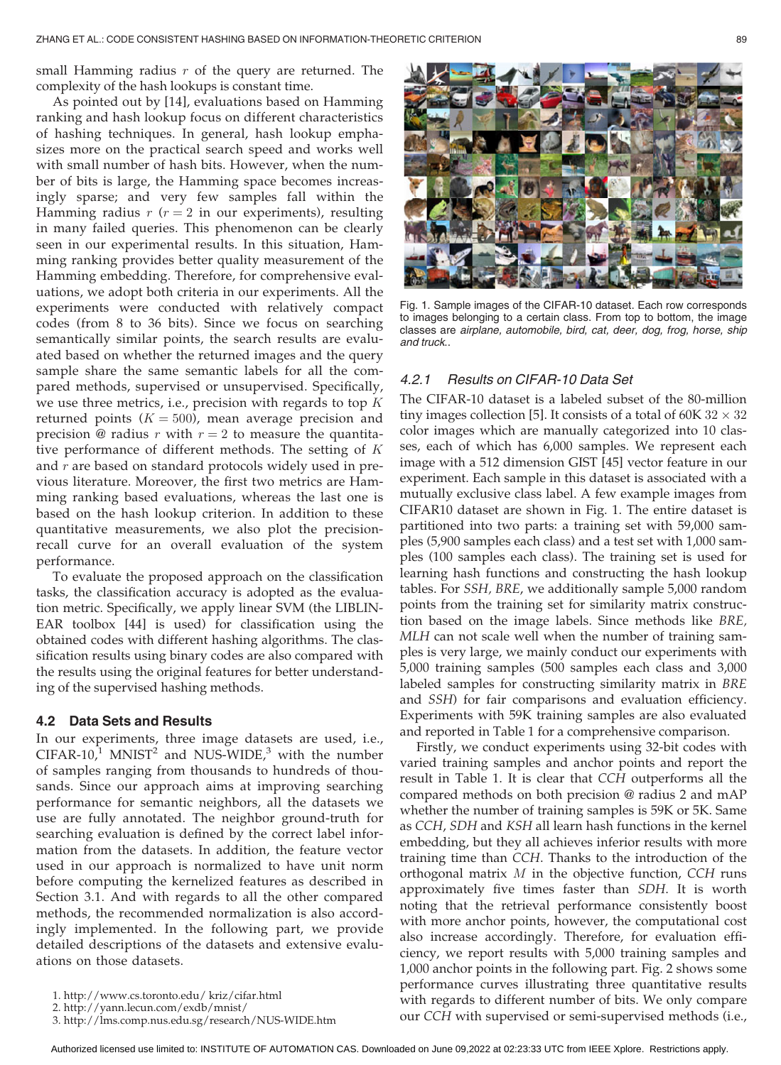small Hamming radius  $r$  of the query are returned. The complexity of the hash lookups is constant time.

As pointed out by [14], evaluations based on Hamming ranking and hash lookup focus on different characteristics of hashing techniques. In general, hash lookup emphasizes more on the practical search speed and works well with small number of hash bits. However, when the number of bits is large, the Hamming space becomes increasingly sparse; and very few samples fall within the Hamming radius  $r$  ( $r = 2$  in our experiments), resulting in many failed queries. This phenomenon can be clearly seen in our experimental results. In this situation, Hamming ranking provides better quality measurement of the Hamming embedding. Therefore, for comprehensive evaluations, we adopt both criteria in our experiments. All the experiments were conducted with relatively compact codes (from 8 to 36 bits). Since we focus on searching semantically similar points, the search results are evaluated based on whether the returned images and the query sample share the same semantic labels for all the compared methods, supervised or unsupervised. Specifically, we use three metrics, i.e., precision with regards to top  $K$ returned points  $(K = 500)$ , mean average precision and precision @ radius r with  $r = 2$  to measure the quantitative performance of different methods. The setting of K and  $r$  are based on standard protocols widely used in previous literature. Moreover, the first two metrics are Hamming ranking based evaluations, whereas the last one is based on the hash lookup criterion. In addition to these quantitative measurements, we also plot the precisionrecall curve for an overall evaluation of the system performance.

To evaluate the proposed approach on the classification tasks, the classification accuracy is adopted as the evaluation metric. Specifically, we apply linear SVM (the LIBLIN-EAR toolbox [44] is used) for classification using the obtained codes with different hashing algorithms. The classification results using binary codes are also compared with the results using the original features for better understanding of the supervised hashing methods.

#### 4.2 Data Sets and Results

In our experiments, three image datasets are used, i.e.,  $CIFAR-10<sup>1</sup>$  MNIST<sup>2</sup> and NUS-WIDE<sub>i</sub><sup>3</sup> with the number of samples ranging from thousands to hundreds of thousands. Since our approach aims at improving searching performance for semantic neighbors, all the datasets we use are fully annotated. The neighbor ground-truth for searching evaluation is defined by the correct label information from the datasets. In addition, the feature vector used in our approach is normalized to have unit norm before computing the kernelized features as described in Section 3.1. And with regards to all the other compared methods, the recommended normalization is also accordingly implemented. In the following part, we provide detailed descriptions of the datasets and extensive evaluations on those datasets.



Fig. 1. Sample images of the CIFAR-10 dataset. Each row corresponds to images belonging to a certain class. From top to bottom, the image classes are airplane, automobile, bird, cat, deer, dog, frog, horse, ship and truck..

## 4.2.1 Results on CIFAR-10 Data Set

The CIFAR-10 dataset is a labeled subset of the 80-million tiny images collection [5]. It consists of a total of 60K  $32 \times 32$ color images which are manually categorized into 10 classes, each of which has 6,000 samples. We represent each image with a 512 dimension GIST [45] vector feature in our experiment. Each sample in this dataset is associated with a mutually exclusive class label. A few example images from CIFAR10 dataset are shown in Fig. 1. The entire dataset is partitioned into two parts: a training set with 59,000 samples (5,900 samples each class) and a test set with 1,000 samples (100 samples each class). The training set is used for learning hash functions and constructing the hash lookup tables. For SSH, BRE, we additionally sample 5,000 random points from the training set for similarity matrix construction based on the image labels. Since methods like BRE, MLH can not scale well when the number of training samples is very large, we mainly conduct our experiments with 5,000 training samples (500 samples each class and 3,000 labeled samples for constructing similarity matrix in BRE and SSH) for fair comparisons and evaluation efficiency. Experiments with 59K training samples are also evaluated and reported in Table 1 for a comprehensive comparison.

Firstly, we conduct experiments using 32-bit codes with varied training samples and anchor points and report the result in Table 1. It is clear that CCH outperforms all the compared methods on both precision @ radius 2 and mAP whether the number of training samples is 59K or 5K. Same as CCH, SDH and KSH all learn hash functions in the kernel embedding, but they all achieves inferior results with more training time than CCH. Thanks to the introduction of the orthogonal matrix  $M$  in the objective function, CCH runs approximately five times faster than SDH. It is worth noting that the retrieval performance consistently boost with more anchor points, however, the computational cost also increase accordingly. Therefore, for evaluation efficiency, we report results with 5,000 training samples and 1,000 anchor points in the following part. Fig. 2 shows some performance curves illustrating three quantitative results with regards to different number of bits. We only compare our CCH with supervised or semi-supervised methods (i.e.,

<sup>1.</sup> http://www.cs.toronto.edu/ kriz/cifar.html

<sup>2.</sup> http://yann.lecun.com/exdb/mnist/

<sup>3.</sup> http://lms.comp.nus.edu.sg/research/NUS-WIDE.htm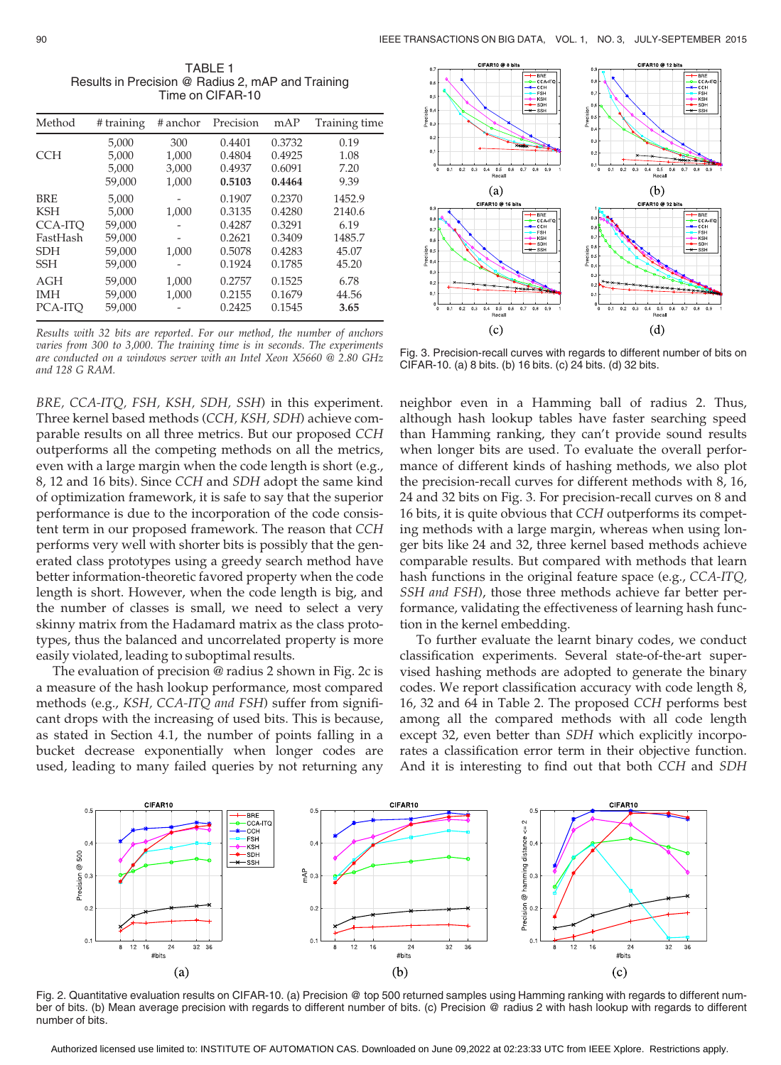TABLE 1 Results in Precision @ Radius 2, mAP and Training Time on CIFAR-10

| Method     | # training | # anchor | Precision | mAP    | Training time |  |
|------------|------------|----------|-----------|--------|---------------|--|
|            | 5.000      | 300      | 0.4401    | 0.3732 | 0.19          |  |
| <b>CCH</b> | 5.000      | 1.000    | 0.4804    | 0.4925 | 1.08          |  |
|            | 5.000      | 3,000    | 0.4937    | 0.6091 | 7.20          |  |
|            | 59,000     | 1,000    | 0.5103    | 0.4464 | 9.39          |  |
| <b>BRE</b> | 5,000      |          | 0.1907    | 0.2370 | 1452.9        |  |
| <b>KSH</b> | 5.000      | 1,000    | 0.3135    | 0.4280 | 2140.6        |  |
| CCA-ITO    | 59.000     |          | 0.4287    | 0.3291 | 6.19          |  |
| FastHash   | 59,000     |          | 0.2621    | 0.3409 | 1485.7        |  |
| <b>SDH</b> | 59,000     | 1,000    | 0.5078    | 0.4283 | 45.07         |  |
| <b>SSH</b> | 59,000     |          | 0.1924    | 0.1785 | 45.20         |  |
| AGH        | 59,000     | 1,000    | 0.2757    | 0.1525 | 6.78          |  |
| <b>IMH</b> | 59,000     | 1,000    | 0.2155    | 0.1679 | 44.56         |  |
| PCA-ITO    | 59,000     |          | 0.2425    | 0.1545 | 3.65          |  |

Results with 32 bits are reported. For our method, the number of anchors varies from 300 to 3,000. The training time is in seconds. The experiments are conducted on a windows server with an Intel Xeon X5660 @ 2.80 GHz and 128 G RAM.

BRE, CCA-ITQ, FSH, KSH, SDH, SSH) in this experiment. Three kernel based methods (CCH, KSH, SDH) achieve comparable results on all three metrics. But our proposed CCH outperforms all the competing methods on all the metrics, even with a large margin when the code length is short (e.g., 8, 12 and 16 bits). Since CCH and SDH adopt the same kind of optimization framework, it is safe to say that the superior performance is due to the incorporation of the code consistent term in our proposed framework. The reason that CCH performs very well with shorter bits is possibly that the generated class prototypes using a greedy search method have better information-theoretic favored property when the code length is short. However, when the code length is big, and the number of classes is small, we need to select a very skinny matrix from the Hadamard matrix as the class prototypes, thus the balanced and uncorrelated property is more easily violated, leading to suboptimal results.

The evaluation of precision @ radius 2 shown in Fig. 2c is a measure of the hash lookup performance, most compared methods (e.g., KSH, CCA-ITQ and FSH) suffer from significant drops with the increasing of used bits. This is because, as stated in Section 4.1, the number of points falling in a bucket decrease exponentially when longer codes are used, leading to many failed queries by not returning any



Fig. 3. Precision-recall curves with regards to different number of bits on CIFAR-10. (a) 8 bits. (b) 16 bits. (c) 24 bits. (d) 32 bits.

neighbor even in a Hamming ball of radius 2. Thus, although hash lookup tables have faster searching speed than Hamming ranking, they can't provide sound results when longer bits are used. To evaluate the overall performance of different kinds of hashing methods, we also plot the precision-recall curves for different methods with 8, 16, 24 and 32 bits on Fig. 3. For precision-recall curves on 8 and 16 bits, it is quite obvious that CCH outperforms its competing methods with a large margin, whereas when using longer bits like 24 and 32, three kernel based methods achieve comparable results. But compared with methods that learn hash functions in the original feature space (e.g., CCA-ITQ, SSH and FSH), those three methods achieve far better performance, validating the effectiveness of learning hash function in the kernel embedding.

To further evaluate the learnt binary codes, we conduct classification experiments. Several state-of-the-art supervised hashing methods are adopted to generate the binary codes. We report classification accuracy with code length 8, 16, 32 and 64 in Table 2. The proposed CCH performs best among all the compared methods with all code length except 32, even better than SDH which explicitly incorporates a classification error term in their objective function. And it is interesting to find out that both CCH and SDH



Fig. 2. Quantitative evaluation results on CIFAR-10. (a) Precision @ top 500 returned samples using Hamming ranking with regards to different number of bits. (b) Mean average precision with regards to different number of bits. (c) Precision @ radius 2 with hash lookup with regards to different number of bits.

Authorized licensed use limited to: INSTITUTE OF AUTOMATION CAS. Downloaded on June 09,2022 at 02:23:33 UTC from IEEE Xplore. Restrictions apply.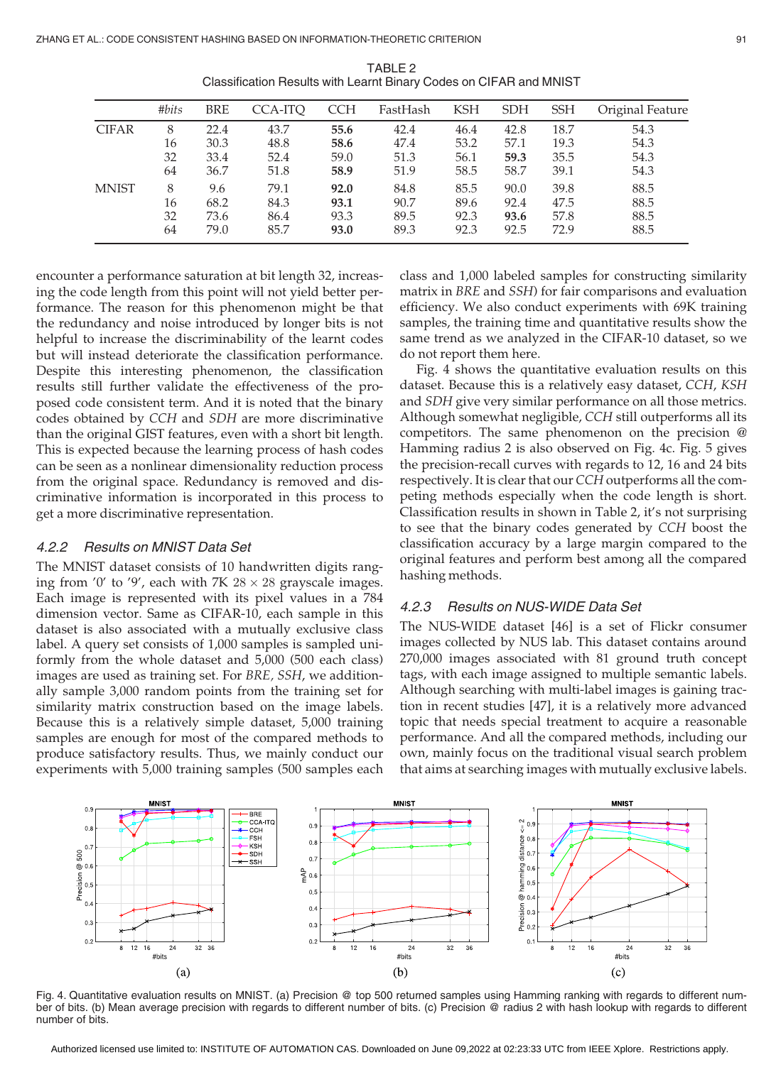|              | #bits | <b>BRE</b> | CCA-ITO | <b>CCH</b> | FastHash | <b>KSH</b> | <b>SDH</b> | <b>SSH</b> | Original Feature |
|--------------|-------|------------|---------|------------|----------|------------|------------|------------|------------------|
| <b>CIFAR</b> | 8     | 22.4       | 43.7    | 55.6       | 42.4     | 46.4       | 42.8       | 18.7       | 54.3             |
|              | 16    | 30.3       | 48.8    | 58.6       | 47.4     | 53.2       | 57.1       | 19.3       | 54.3             |
|              | 32    | 33.4       | 52.4    | 59.0       | 51.3     | 56.1       | 59.3       | 35.5       | 54.3             |
|              | 64    | 36.7       | 51.8    | 58.9       | 51.9     | 58.5       | 58.7       | 39.1       | 54.3             |
| <b>MNIST</b> | 8     | 9.6        | 79.1    | 92.0       | 84.8     | 85.5       | 90.0       | 39.8       | 88.5             |
|              | 16    | 68.2       | 84.3    | 93.1       | 90.7     | 89.6       | 92.4       | 47.5       | 88.5             |
|              | 32    | 73.6       | 86.4    | 93.3       | 89.5     | 92.3       | 93.6       | 57.8       | 88.5             |
|              | 64    | 79.0       | 85.7    | 93.0       | 89.3     | 92.3       | 92.5       | 72.9       | 88.5             |

TABLE 2 Classification Results with Learnt Binary Codes on CIFAR and MNIST

encounter a performance saturation at bit length 32, increasing the code length from this point will not yield better performance. The reason for this phenomenon might be that the redundancy and noise introduced by longer bits is not helpful to increase the discriminability of the learnt codes but will instead deteriorate the classification performance. Despite this interesting phenomenon, the classification results still further validate the effectiveness of the proposed code consistent term. And it is noted that the binary codes obtained by CCH and SDH are more discriminative than the original GIST features, even with a short bit length. This is expected because the learning process of hash codes can be seen as a nonlinear dimensionality reduction process from the original space. Redundancy is removed and discriminative information is incorporated in this process to get a more discriminative representation.

## 4.2.2 Results on MNIST Data Set

The MNIST dataset consists of 10 handwritten digits ranging from '0' to '9', each with  $7K$   $28 \times 28$  grayscale images. Each image is represented with its pixel values in a 784 dimension vector. Same as CIFAR-10, each sample in this dataset is also associated with a mutually exclusive class label. A query set consists of 1,000 samples is sampled uniformly from the whole dataset and 5,000 (500 each class) images are used as training set. For BRE, SSH, we additionally sample 3,000 random points from the training set for similarity matrix construction based on the image labels. Because this is a relatively simple dataset, 5,000 training samples are enough for most of the compared methods to produce satisfactory results. Thus, we mainly conduct our experiments with 5,000 training samples (500 samples each class and 1,000 labeled samples for constructing similarity matrix in BRE and SSH) for fair comparisons and evaluation efficiency. We also conduct experiments with 69K training samples, the training time and quantitative results show the same trend as we analyzed in the CIFAR-10 dataset, so we do not report them here.

Fig. 4 shows the quantitative evaluation results on this dataset. Because this is a relatively easy dataset, CCH, KSH and SDH give very similar performance on all those metrics. Although somewhat negligible, CCH still outperforms all its competitors. The same phenomenon on the precision @ Hamming radius 2 is also observed on Fig. 4c. Fig. 5 gives the precision-recall curves with regards to 12, 16 and 24 bits respectively. It is clear that our CCH outperforms all the competing methods especially when the code length is short. Classification results in shown in Table 2, it's not surprising to see that the binary codes generated by CCH boost the classification accuracy by a large margin compared to the original features and perform best among all the compared hashing methods.

## 4.2.3 Results on NUS-WIDE Data Set

The NUS-WIDE dataset [46] is a set of Flickr consumer images collected by NUS lab. This dataset contains around 270,000 images associated with 81 ground truth concept tags, with each image assigned to multiple semantic labels. Although searching with multi-label images is gaining traction in recent studies [47], it is a relatively more advanced topic that needs special treatment to acquire a reasonable performance. And all the compared methods, including our own, mainly focus on the traditional visual search problem that aims at searching images with mutually exclusive labels.



Fig. 4. Quantitative evaluation results on MNIST. (a) Precision @ top 500 returned samples using Hamming ranking with regards to different number of bits. (b) Mean average precision with regards to different number of bits. (c) Precision @ radius 2 with hash lookup with regards to different number of bits.

Authorized licensed use limited to: INSTITUTE OF AUTOMATION CAS. Downloaded on June 09,2022 at 02:23:33 UTC from IEEE Xplore. Restrictions apply.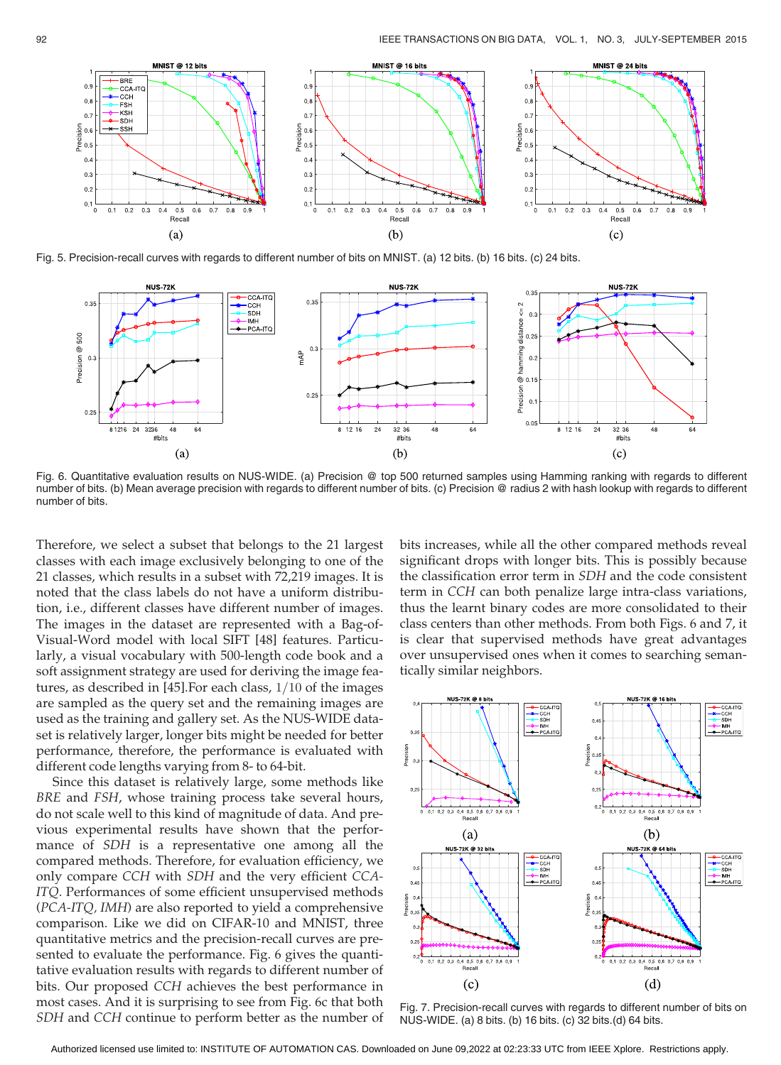

Fig. 5. Precision-recall curves with regards to different number of bits on MNIST. (a) 12 bits. (b) 16 bits. (c) 24 bits.



Fig. 6. Quantitative evaluation results on NUS-WIDE. (a) Precision @ top 500 returned samples using Hamming ranking with regards to different number of bits. (b) Mean average precision with regards to different number of bits. (c) Precision @ radius 2 with hash lookup with regards to different number of bits.

Therefore, we select a subset that belongs to the 21 largest classes with each image exclusively belonging to one of the 21 classes, which results in a subset with 72,219 images. It is noted that the class labels do not have a uniform distribution, i.e., different classes have different number of images. The images in the dataset are represented with a Bag-of-Visual-Word model with local SIFT [48] features. Particularly, a visual vocabulary with 500-length code book and a soft assignment strategy are used for deriving the image features, as described in [45]. For each class,  $1/10$  of the images are sampled as the query set and the remaining images are used as the training and gallery set. As the NUS-WIDE dataset is relatively larger, longer bits might be needed for better performance, therefore, the performance is evaluated with different code lengths varying from 8- to 64-bit.

Since this dataset is relatively large, some methods like BRE and FSH, whose training process take several hours, do not scale well to this kind of magnitude of data. And previous experimental results have shown that the performance of *SDH* is a representative one among all the compared methods. Therefore, for evaluation efficiency, we only compare CCH with SDH and the very efficient CCA-ITQ. Performances of some efficient unsupervised methods (PCA-ITQ, IMH) are also reported to yield a comprehensive comparison. Like we did on CIFAR-10 and MNIST, three quantitative metrics and the precision-recall curves are presented to evaluate the performance. Fig. 6 gives the quantitative evaluation results with regards to different number of bits. Our proposed CCH achieves the best performance in most cases. And it is surprising to see from Fig. 6c that both SDH and CCH continue to perform better as the number of bits increases, while all the other compared methods reveal significant drops with longer bits. This is possibly because the classification error term in SDH and the code consistent term in CCH can both penalize large intra-class variations, thus the learnt binary codes are more consolidated to their class centers than other methods. From both Figs. 6 and 7, it is clear that supervised methods have great advantages over unsupervised ones when it comes to searching semantically similar neighbors.



Fig. 7. Precision-recall curves with regards to different number of bits on NUS-WIDE. (a) 8 bits. (b) 16 bits. (c) 32 bits.(d) 64 bits.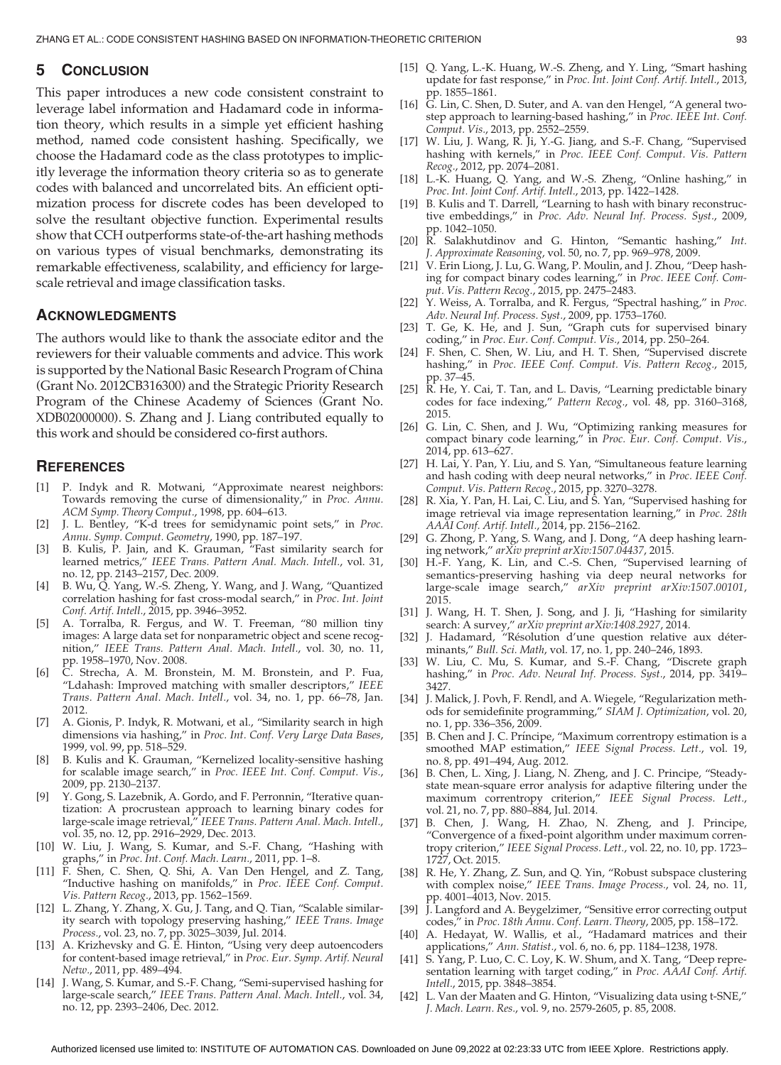## 5 CONCLUSION

This paper introduces a new code consistent constraint to leverage label information and Hadamard code in information theory, which results in a simple yet efficient hashing method, named code consistent hashing. Specifically, we choose the Hadamard code as the class prototypes to implicitly leverage the information theory criteria so as to generate codes with balanced and uncorrelated bits. An efficient optimization process for discrete codes has been developed to solve the resultant objective function. Experimental results show that CCH outperforms state-of-the-art hashing methods on various types of visual benchmarks, demonstrating its remarkable effectiveness, scalability, and efficiency for largescale retrieval and image classification tasks.

## ACKNOWLEDGMENTS

The authors would like to thank the associate editor and the reviewers for their valuable comments and advice. This work is supported by the National Basic Research Program of China (Grant No. 2012CB316300) and the Strategic Priority Research Program of the Chinese Academy of Sciences (Grant No. XDB02000000). S. Zhang and J. Liang contributed equally to this work and should be considered co-first authors.

#### **REFERENCES**

- [1] P. Indyk and R. Motwani, "Approximate nearest neighbors: Towards removing the curse of dimensionality," in Proc. Annu. ACM Symp. Theory Comput., 1998, pp. 604–613.
- J. L. Bentley, "K-d trees for semidynamic point sets," in Proc. Annu. Symp. Comput. Geometry, 1990, pp. 187–197.
- [3] B. Kulis, P. Jain, and K. Grauman, "Fast similarity search for learned metrics," IEEE Trans. Pattern Anal. Mach. Intell., vol. 31, no. 12, pp. 2143–2157, Dec. 2009.
- [4] B. Wu, Q. Yang, W.-S. Zheng, Y. Wang, and J. Wang, "Quantized correlation hashing for fast cross-modal search," in Proc. Int. Joint Conf. Artif. Intell., 2015, pp. 3946–3952.
- [5] A. Torralba, R. Fergus, and W. T. Freeman, "80 million tiny images: A large data set for nonparametric object and scene recognition," IEEE Trans. Pattern Anal. Mach. Intell., vol. 30, no. 11, pp. 1958–1970, Nov. 2008.
- [6] C. Strecha, A. M. Bronstein, M. M. Bronstein, and P. Fua, "Ldahash: Improved matching with smaller descriptors," IEEE Trans. Pattern Anal. Mach. Intell., vol. 34, no. 1, pp. 66–78, Jan. 2012.
- [7] A. Gionis, P. Indyk, R. Motwani, et al., "Similarity search in high dimensions via hashing," in Proc. Int. Conf. Very Large Data Bases, 1999, vol. 99, pp. 518–529.
- [8] B. Kulis and K. Grauman, "Kernelized locality-sensitive hashing for scalable image search," in Proc. IEEE Int. Conf. Comput. Vis., 2009, pp. 2130–2137.
- [9] Y. Gong, S. Lazebnik, A. Gordo, and F. Perronnin, "Iterative quantization: A procrustean approach to learning binary codes for large-scale image retrieval," IEEE Trans. Pattern Anal. Mach. Intell., vol. 35, no. 12, pp. 2916–2929, Dec. 2013.
- [10] W. Liu, J. Wang, S. Kumar, and S.-F. Chang, "Hashing with graphs," in Proc. Int. Conf. Mach. Learn., 2011, pp. 1–8.
- [11] F. Shen, C. Shen, Q. Shi, A. Van Den Hengel, and Z. Tang, "Inductive hashing on manifolds," in Proc. IEEE Conf. Comput. Vis. Pattern Recog., 2013, pp. 1562–1569.
- [12] L. Zhang, Y. Zhang, X. Gu, J. Tang, and Q. Tian, "Scalable similarity search with topology preserving hashing," IEEE Trans. Image Process., vol. 23, no. 7, pp. 3025–3039, Jul. 2014.
- [13] A. Krizhevsky and G. E. Hinton, "Using very deep autoencoders for content-based image retrieval," in Proc. Eur. Symp. Artif. Neural Netw., 2011, pp. 489–494.
- [14] J. Wang, S. Kumar, and S.-F. Chang, "Semi-supervised hashing for large-scale search," IEEE Trans. Pattern Anal. Mach. Intell., vol. 34, no. 12, pp. 2393–2406, Dec. 2012.
- [15] Q. Yang, L.-K. Huang, W.-S. Zheng, and Y. Ling, "Smart hashing update for fast response," in Proc. Int. Joint Conf. Artif. Intell., 2013, pp. 1855–1861.
- [16] G. Lin, C. Shen, D. Suter, and A. van den Hengel, "A general twostep approach to learning-based hashing," in Proc. IEEE Int. Conf. Comput. Vis., 2013, pp. 2552–2559.
- [17] W. Liu, J. Wang, R. Ji, Y.-G. Jiang, and S.-F. Chang, "Supervised hashing with kernels," in Proc. IEEE Conf. Comput. Vis. Pattern Recog., 2012, pp. 2074–2081.
- [18] L.-K. Huang, Q. Yang, and W.-S. Zheng, "Online hashing," in Proc. Int. Joint Conf. Artif. Intell., 2013, pp. 1422–1428.
- [19] B. Kulis and T. Darrell, "Learning to hash with binary reconstructive embeddings," in Proc. Adv. Neural Inf. Process. Syst., 2009, pp. 1042–1050.
- [20] R. Salakhutdinov and G. Hinton, "Semantic hashing," Int. J. Approximate Reasoning, vol. 50, no. 7, pp. 969–978, 2009.
- [21] V. Erin Liong, J. Lu, G. Wang, P. Moulin, and J. Zhou, "Deep hashing for compact binary codes learning," in Proc. IEEE Conf. Comput. Vis. Pattern Recog., 2015, pp. 2475–2483.
- [22] Y. Weiss, A. Torralba, and R. Fergus, "Spectral hashing," in Proc. Adv. Neural Inf. Process. Syst., 2009, pp. 1753–1760.
- [23] T. Ge, K. He, and J. Sun, "Graph cuts for supervised binary coding," in Proc. Eur. Conf. Comput. Vis., 2014, pp. 250–264.
- [24] F. Shen, C. Shen, W. Liu, and H. T. Shen, "Supervised discrete hashing," in Proc. IEEE Conf. Comput. Vis. Pattern Recog., 2015, pp. 37–45.
- [25] R. He, Y. Cai, T. Tan, and L. Davis, "Learning predictable binary codes for face indexing," Pattern Recog., vol. 48, pp. 3160–3168, 2015.
- [26] G. Lin, C. Shen, and J. Wu, "Optimizing ranking measures for compact binary code learning," in Proc. Eur. Conf. Comput. Vis., 2014, pp. 613–627.
- [27] H. Lai, Y. Pan, Y. Liu, and S. Yan, "Simultaneous feature learning and hash coding with deep neural networks," in Proc. IEEE Conf. Comput. Vis. Pattern Recog., 2015, pp. 3270–3278.
- [28] R. Xia, Y. Pan, H. Lai, C. Liu, and S. Yan, "Supervised hashing for image retrieval via image representation learning," in Proc. 28th AAAI Conf. Artif. Intell., 2014, pp. 2156–2162.
- [29] G. Zhong, P. Yang, S. Wang, and J. Dong, "A deep hashing learning network," arXiv preprint arXiv:1507.04437, 2015.
- [30] H.-F. Yang, K. Lin, and C.-S. Chen, "Supervised learning of semantics-preserving hashing via deep neural networks for large-scale image search," arXiv preprint arXiv:1507.00101, 2015.
- [31] J. Wang, H. T. Shen, J. Song, and J. Ji, "Hashing for similarity search: A survey," arXiv preprint arXiv:1408.2927, 2014.
- [32] J. Hadamard, "Résolution d'une question relative aux déter-<br>minants " Bull Sci Math vol 17 no 1 pp 240–246 1893 minants," Bull. Sci. Math, vol. 17, no. 1, pp. 240–246, 1893.
- [33] W. Liu, C. Mu, S. Kumar, and S.-F. Chang, "Discrete graph hashing," in Proc. Adv. Neural Inf. Process. Syst., 2014, pp. 3419-3427.
- [34] J. Malick, J. Povh, F. Rendl, and A. Wiegele, "Regularization methods for semidefinite programming," SIAM J. Optimization, vol. 20, no. 1, pp. 336–356, 2009.
- [35] B. Chen and J. C. Principe, "Maximum correntropy estimation is a<br>smoothed MAP estimation " IEEE Signal Process Lett vol. 19 smoothed MAP estimation," IEEE Signal Process. Lett., vol. 19, no. 8, pp. 491–494, Aug. 2012.
- [36] B. Chen, L. Xing, J. Liang, N. Zheng, and J. C. Principe, "Steadystate mean-square error analysis for adaptive filtering under the maximum correntropy criterion," IEEE Signal Process. Lett., vol. 21, no. 7, pp. 880–884, Jul. 2014.
- [37] B. Chen, J. Wang, H. Zhao, N. Zheng, and J. Principe, "Convergence of a fixed-point algorithm under maximum correntropy criterion," IEEE Signal Process. Lett., vol. 22, no. 10, pp. 1723– 1727, Oct. 2015.
- [38] R. He, Y. Zhang, Z. Sun, and Q. Yin, "Robust subspace clustering with complex noise," IEEE Trans. Image Process., vol. 24, no. 11, pp. 4001–4013, Nov. 2015.
- [39] J. Langford and A. Beygelzimer, "Sensitive error correcting output codes," in Proc. 18th Annu. Conf. Learn. Theory, 2005, pp. 158–172.
- [40] A. Hedayat, W. Wallis, et al., "Hadamard matrices and their applications," Ann. Statist., vol. 6, no. 6, pp. 1184–1238, 1978.
- [41] S. Yang, P. Luo, C. C. Loy, K. W. Shum, and X. Tang, "Deep representation learning with target coding," in Proc. AAAI Conf. Artif. Intell., 2015, pp. 3848–3854.
- [42] L. Van der Maaten and G. Hinton, "Visualizing data using t-SNE," J. Mach. Learn. Res., vol. 9, no. 2579-2605, p. 85, 2008.